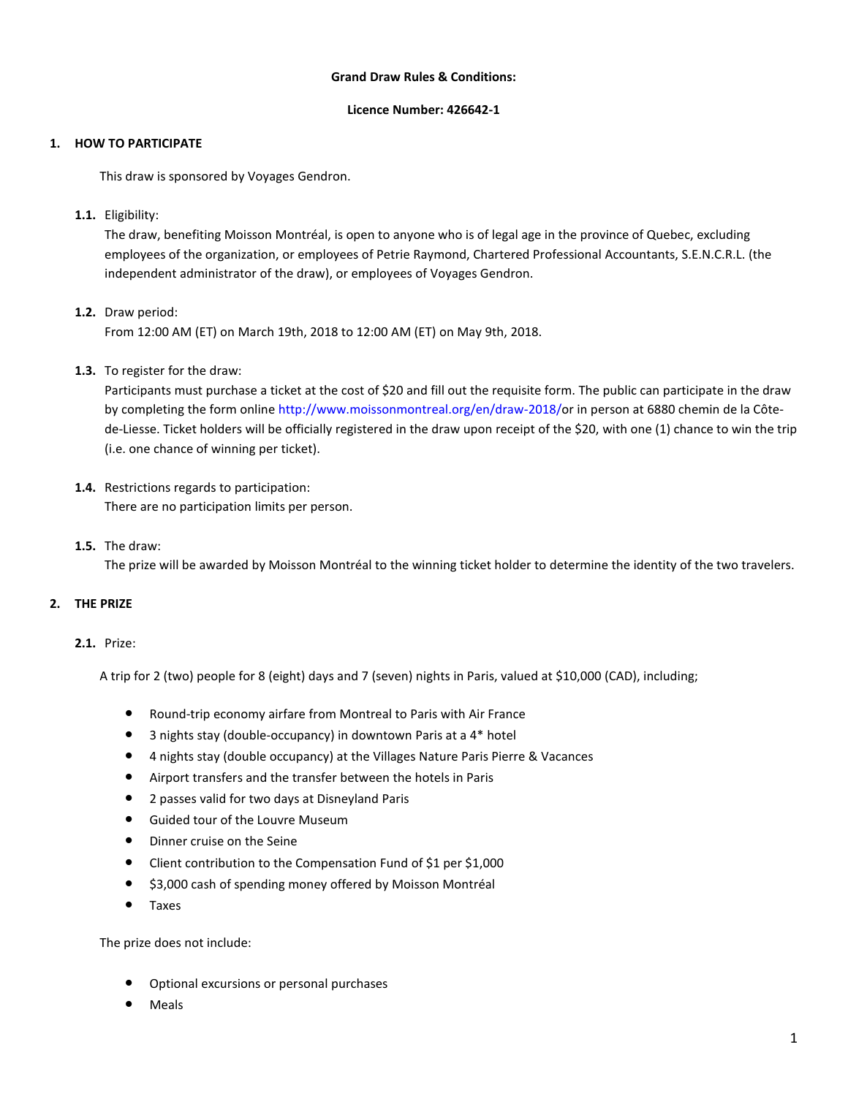#### **Grand Draw Rules & Conditions:**

#### **Licence Number: 426642-1**

## **1. HOW TO PARTICIPATE**

This draw is sponsored by Voyages Gendron.

**1.1.** Eligibility:

The draw, benefiting Moisson Montréal, is open to anyone who is of legal age in the province of Quebec, excluding employees of the organization, or employees of Petrie Raymond, Chartered Professional Accountants, S.E.N.C.R.L. (the independent administrator of the draw), or employees of Voyages Gendron.

**1.2.** Draw period:

From 12:00 AM (ET) on March 19th, 2018 to 12:00 AM (ET) on May 9th, 2018.

**1.3.** To register for the draw:

Participants must purchase a ticket at the cost of \$20 and fill out the requisite form. The public can participate in the draw by completing the form online [http://www.moissonmontreal.org/en/draw-2018/o](http://www.moissonmontreal.org/en/draw-2018/)r in person at 6880 chemin de la Côtede-Liesse. Ticket holders will be officially registered in the draw upon receipt of the \$20, with one (1) chance to win the trip (i.e. one chance of winning per ticket).

- **1.4.** Restrictions regards to participation: There are no participation limits per person.
- **1.5.** The draw:

The prize will be awarded by Moisson Montréal to the winning ticket holder to determine the identity of the two travelers.

# **2. THE PRIZE**

## **2.1.** Prize:

A trip for 2 (two) people for 8 (eight) days and 7 (seven) nights in Paris, valued at \$10,000 (CAD), including;

- Round-trip economy airfare from Montreal to Paris with Air France
- 3 nights stay (double-occupancy) in downtown Paris at a 4\* hotel
- 4 nights stay (double occupancy) at the Villages Nature Paris Pierre & Vacances
- Airport transfers and the transfer between the hotels in Paris
- 2 passes valid for two days at Disneyland Paris
- Guided tour of the Louvre Museum
- Dinner cruise on the Seine
- Client contribution to the Compensation Fund of \$1 per \$1,000
- \$3,000 cash of spending money offered by Moisson Montréal
- Taxes

The prize does not include:

- Optional excursions or personal purchases
- **Meals**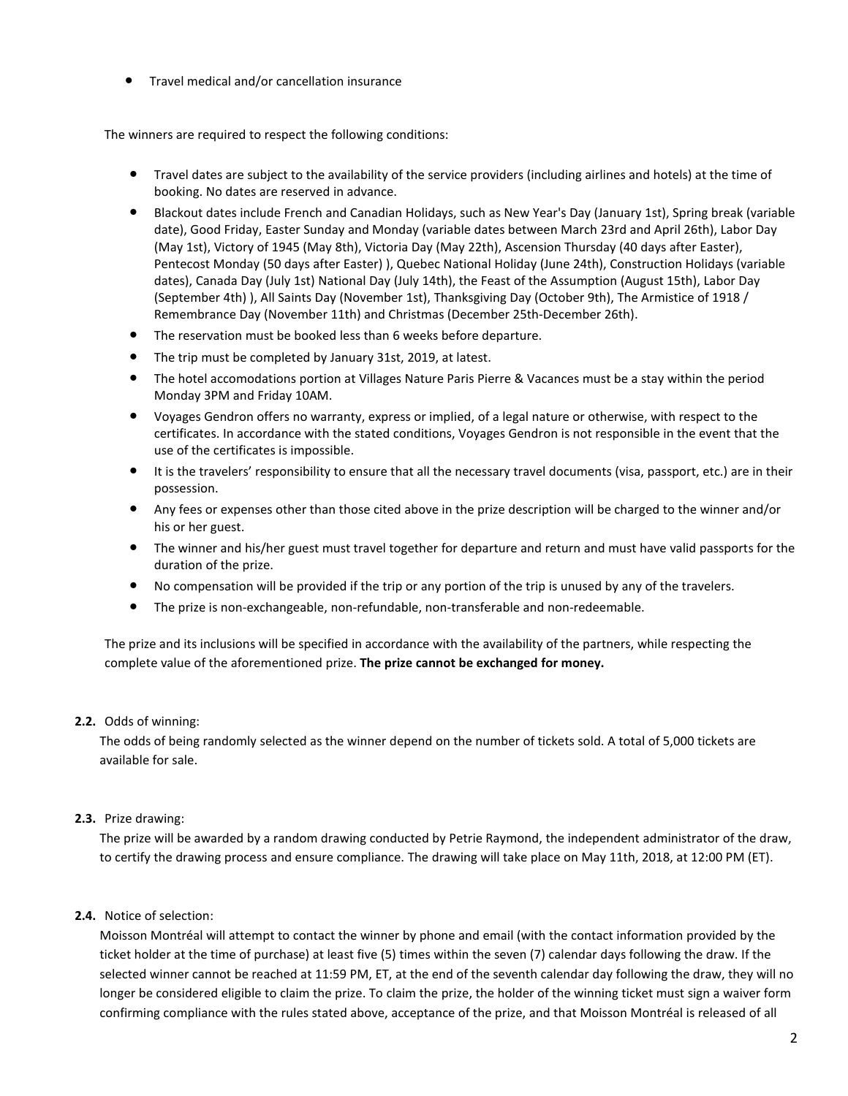● Travel medical and/or cancellation insurance

The winners are required to respect the following conditions:

- Travel dates are subject to the availability of the service providers (including airlines and hotels) at the time of booking. No dates are reserved in advance.
- Blackout dates include French and Canadian Holidays, such as New Year's Day (January 1st), Spring break (variable date), Good Friday, Easter Sunday and Monday (variable dates between March 23rd and April 26th), Labor Day (May 1st), Victory of 1945 (May 8th), Victoria Day (May 22th), Ascension Thursday (40 days after Easter), Pentecost Monday (50 days after Easter) ), Quebec National Holiday (June 24th), Construction Holidays (variable dates), Canada Day (July 1st) National Day (July 14th), the Feast of the Assumption (August 15th), Labor Day (September 4th) ), All Saints Day (November 1st), Thanksgiving Day (October 9th), The Armistice of 1918 / Remembrance Day (November 11th) and Christmas (December 25th-December 26th).
- The reservation must be booked less than 6 weeks before departure.
- The trip must be completed by January 31st, 2019, at latest.
- The hotel accomodations portion at Villages Nature Paris Pierre & Vacances must be a stay within the period Monday 3PM and Friday 10AM.
- Voyages Gendron offers no warranty, express or implied, of a legal nature or otherwise, with respect to the certificates. In accordance with the stated conditions, Voyages Gendron is not responsible in the event that the use of the certificates is impossible.
- It is the travelers' responsibility to ensure that all the necessary travel documents (visa, passport, etc.) are in their possession.
- Any fees or expenses other than those cited above in the prize description will be charged to the winner and/or his or her guest.
- The winner and his/her guest must travel together for departure and return and must have valid passports for the duration of the prize.
- No compensation will be provided if the trip or any portion of the trip is unused by any of the travelers.
- The prize is non-exchangeable, non-refundable, non-transferable and non-redeemable.

The prize and its inclusions will be specified in accordance with the availability of the partners, while respecting the complete value of the aforementioned prize. **The prize cannot be exchanged for money.**

#### **2.2.** Odds of winning:

The odds of being randomly selected as the winner depend on the number of tickets sold. A total of 5,000 tickets are available for sale.

## **2.3.** Prize drawing:

The prize will be awarded by a random drawing conducted by Petrie Raymond, the independent administrator of the draw, to certify the drawing process and ensure compliance. The drawing will take place on May 11th, 2018, at 12:00 PM (ET).

## **2.4.** Notice of selection:

Moisson Montréal will attempt to contact the winner by phone and email (with the contact information provided by the ticket holder at the time of purchase) at least five (5) times within the seven (7) calendar days following the draw. If the selected winner cannot be reached at 11:59 PM, ET, at the end of the seventh calendar day following the draw, they will no longer be considered eligible to claim the prize. To claim the prize, the holder of the winning ticket must sign a waiver form confirming compliance with the rules stated above, acceptance of the prize, and that Moisson Montréal is released of all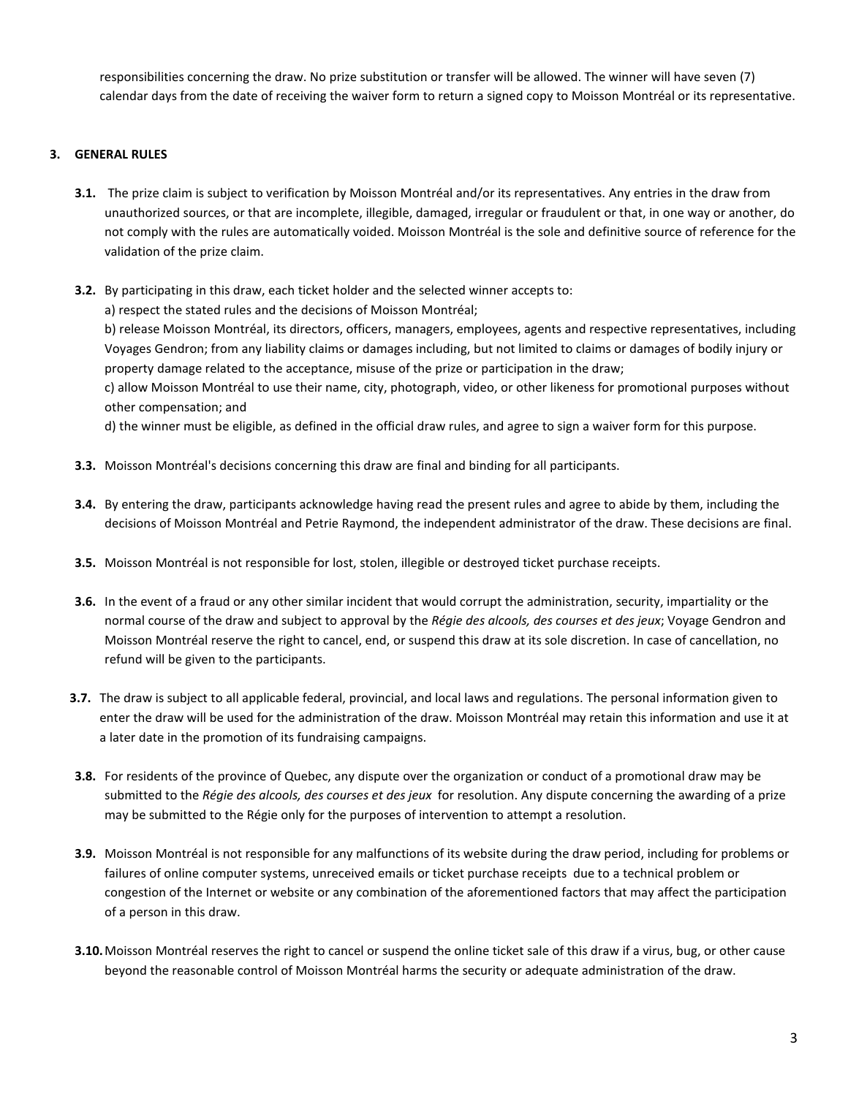responsibilities concerning the draw. No prize substitution or transfer will be allowed. The winner will have seven (7) calendar days from the date of receiving the waiver form to return a signed copy to Moisson Montréal or its representative.

# **3. GENERAL RULES**

- **3.1.** The prize claim is subject to verification by Moisson Montréal and/or its representatives. Any entries in the draw from unauthorized sources, or that are incomplete, illegible, damaged, irregular or fraudulent or that, in one way or another, do not comply with the rules are automatically voided. Moisson Montréal is the sole and definitive source of reference for the validation of the prize claim.
- **3.2.** By participating in this draw, each ticket holder and the selected winner accepts to:
	- a) respect the stated rules and the decisions of Moisson Montréal;

b) release Moisson Montréal, its directors, officers, managers, employees, agents and respective representatives, including Voyages Gendron; from any liability claims or damages including, but not limited to claims or damages of bodily injury or property damage related to the acceptance, misuse of the prize or participation in the draw;

c) allow Moisson Montréal to use their name, city, photograph, video, or other likeness for promotional purposes without other compensation; and

d) the winner must be eligible, as defined in the official draw rules, and agree to sign a waiver form for this purpose.

- **3.3.** Moisson Montréal's decisions concerning this draw are final and binding for all participants.
- **3.4.** By entering the draw, participants acknowledge having read the present rules and agree to abide by them, including the decisions of Moisson Montréal and Petrie Raymond, the independent administrator of the draw. These decisions are final.
- **3.5.** Moisson Montréal is not responsible for lost, stolen, illegible or destroyed ticket purchase receipts.
- **3.6.** In the event of a fraud or any other similar incident that would corrupt the administration, security, impartiality or the normal course of the draw and subject to approval by the *Régie des alcools, des courses et des jeux*; Voyage Gendron and Moisson Montréal reserve the right to cancel, end, or suspend this draw at its sole discretion. In case of cancellation, no refund will be given to the participants.
- **3.7.** The draw is subject to all applicable federal, provincial, and local laws and regulations. The personal information given to enter the draw will be used for the administration of the draw. Moisson Montréal may retain this information and use it at a later date in the promotion of its fundraising campaigns.
- **3.8.** For residents of the province of Quebec, any dispute over the organization or conduct of a promotional draw may be submitted to the *Régie des alcools, des courses et des jeux* for resolution. Any dispute concerning the awarding of a prize may be submitted to the Régie only for the purposes of intervention to attempt a resolution.
- **3.9.** Moisson Montréal is not responsible for any malfunctions of its website during the draw period, including for problems or failures of online computer systems, unreceived emails or ticket purchase receipts due to a technical problem or congestion of the Internet or website or any combination of the aforementioned factors that may affect the participation of a person in this draw.
- **3.10.**Moisson Montréal reserves the right to cancel or suspend the online ticket sale of this draw if a virus, bug, or other cause beyond the reasonable control of Moisson Montréal harms the security or adequate administration of the draw.